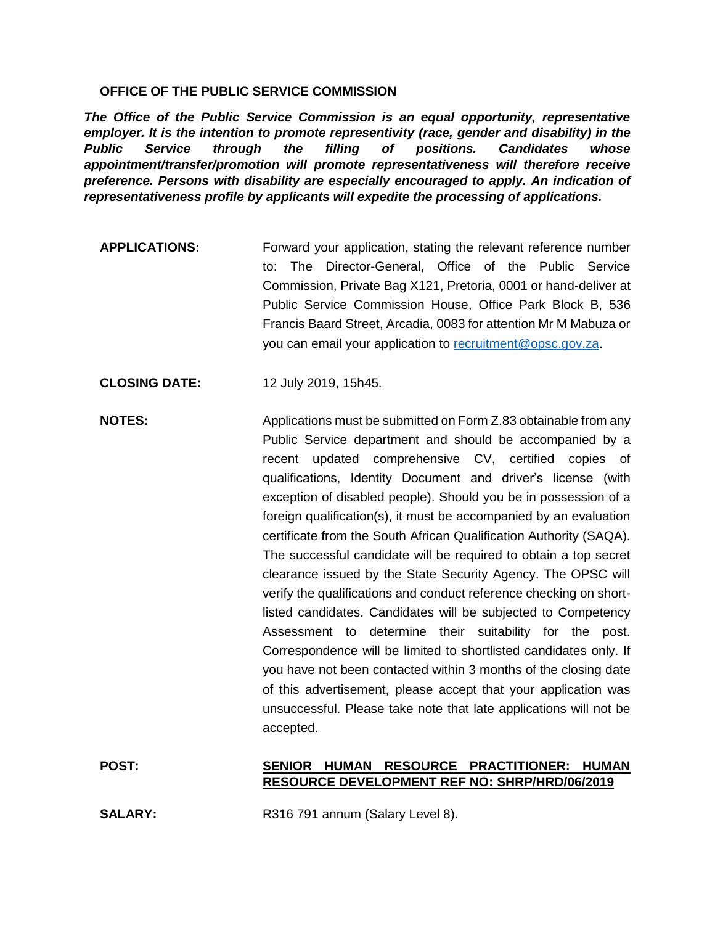## **OFFICE OF THE PUBLIC SERVICE COMMISSION**

*The Office of the Public Service Commission is an equal opportunity, representative employer. It is the intention to promote representivity (race, gender and disability) in the Public Service through the filling of positions. Candidates whose appointment/transfer/promotion will promote representativeness will therefore receive preference. Persons with disability are especially encouraged to apply. An indication of representativeness profile by applicants will expedite the processing of applications.*

**APPLICATIONS:** Forward your application, stating the relevant reference number to: The Director-General, Office of the Public Service Commission, Private Bag X121, Pretoria, 0001 or hand-deliver at Public Service Commission House, Office Park Block B, 536 Francis Baard Street, Arcadia, 0083 for attention Mr M Mabuza or you can email your application to [recruitment@opsc.gov.za.](mailto:recruitment@opsc.gov.za)

**CLOSING DATE:** 12 July 2019, 15h45.

**NOTES:** Applications must be submitted on Form Z.83 obtainable from any Public Service department and should be accompanied by a recent updated comprehensive CV, certified copies of qualifications, Identity Document and driver's license (with exception of disabled people). Should you be in possession of a foreign qualification(s), it must be accompanied by an evaluation certificate from the South African Qualification Authority (SAQA). The successful candidate will be required to obtain a top secret clearance issued by the State Security Agency. The OPSC will verify the qualifications and conduct reference checking on shortlisted candidates. Candidates will be subjected to Competency Assessment to determine their suitability for the post. Correspondence will be limited to shortlisted candidates only. If you have not been contacted within 3 months of the closing date of this advertisement, please accept that your application was unsuccessful. Please take note that late applications will not be accepted.

## **POST: SENIOR HUMAN RESOURCE PRACTITIONER: HUMAN RESOURCE DEVELOPMENT REF NO: SHRP/HRD/06/2019**

**SALARY:** R316 791 annum (Salary Level 8).